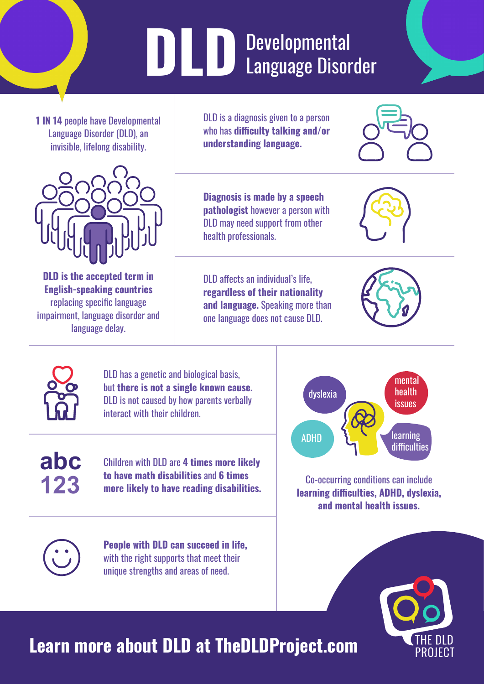# **DLD** Developmental<br>Language Disor Language Disorder

**1 IN 14** people have Developmental Language Disorder (DLD), an invisible, lifelong disability.



**DLD is the accepted term in English-speaking countries** replacing specific language impairment, language disorder and language delay.

DLD is a diagnosis given to a person who has **difficulty talking and/or understanding language.**

**Diagnosis is made by a speech pathologist** however a person with DLD may need support from other health professionals.

DLD affects an individual's life, **regardless of their nationality and language.** Speaking more than one language does not cause DLD.





DLD has a genetic and biological basis, but **there is not a single known cause.** DLD is not caused by how parents verbally interact with their children.

**abc 123**

Children with DLD are **4 times more likely to have math disabilities** and **6 times more likely to have reading disabilities.**

**People with DLD can succeed in life,** with the right supports that meet their unique strengths and areas of need.



Co-occurring conditions can include **learning difficulties, ADHD, dyslexia, and mental health issues.**



### **Learn more about DLD at TheDLDProject.com**